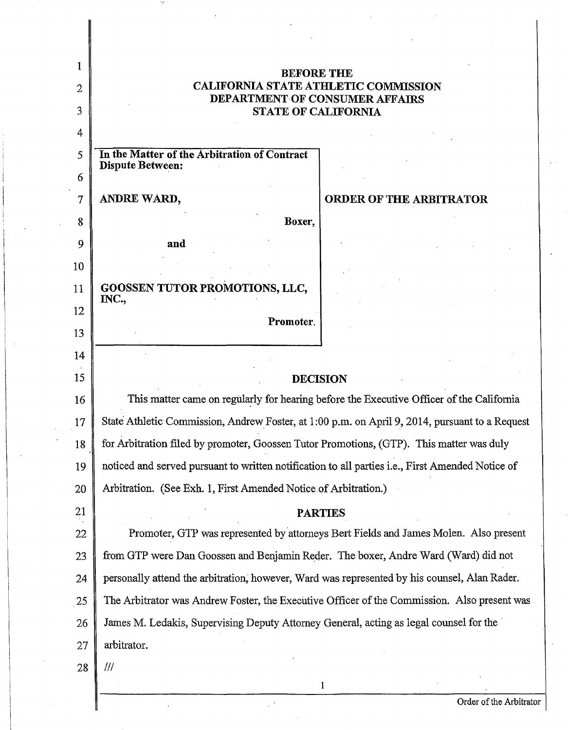|                | <b>BEFORE THE</b>                                                                                |
|----------------|--------------------------------------------------------------------------------------------------|
| $\overline{2}$ | <b>CALIFORNIA STATE ATHLETIC COMMISSION</b><br><b>DEPARTMENT OF CONSUMER AFFAIRS</b>             |
| 3              | <b>STATE OF CALIFORNIA</b>                                                                       |
| 4              |                                                                                                  |
| 5              | In the Matter of the Arbitration of Contract<br><b>Dispute Between:</b>                          |
| 6              |                                                                                                  |
| 7              | ANDRE WARD,<br>ORDER OF THE ARBITRATOR                                                           |
| 8              | Boxer,                                                                                           |
| 9              | and                                                                                              |
| 10             |                                                                                                  |
| 11             | <b>GOOSSEN TUTOR PROMOTIONS, LLC,</b>                                                            |
| 12             | INC.,                                                                                            |
| 13             | Promoter.                                                                                        |
| 14             |                                                                                                  |
| 15             | <b>DECISION</b>                                                                                  |
| 16             | This matter came on regularly for hearing before the Executive Officer of the California         |
| 17             | State Athletic Commission, Andrew Foster, at 1:00 p.m. on April 9, 2014, pursuant to a Request   |
| 18             | for Arbitration filed by promoter, Goossen Tutor Promotions, (GTP). This matter was duly         |
| 19             | noticed and served pursuant to written notification to all parties i.e., First Amended Notice of |
| 20             | Arbitration. (See Exh. 1, First Amended Notice of Arbitration.)                                  |
| 21             | <b>PARTIES</b>                                                                                   |
| 22             | Promoter, GTP was represented by attorneys Bert Fields and James Molen. Also present             |
| 23             | from GTP were Dan Goossen and Benjamin Reder. The boxer, Andre Ward (Ward) did not               |
| 24             | personally attend the arbitration, however, Ward was represented by his counsel, Alan Rader.     |
| 25             | The Arbitrator was Andrew Foster, the Executive Officer of the Commission. Also present was      |
| 26             | James M. Ledakis, Supervising Deputy Attorney General, acting as legal counsel for the           |
| 27             | arbitrator.                                                                                      |
| 28             | $\frac{1}{1}$                                                                                    |
|                | 1                                                                                                |

 $\mathbb{R}^d$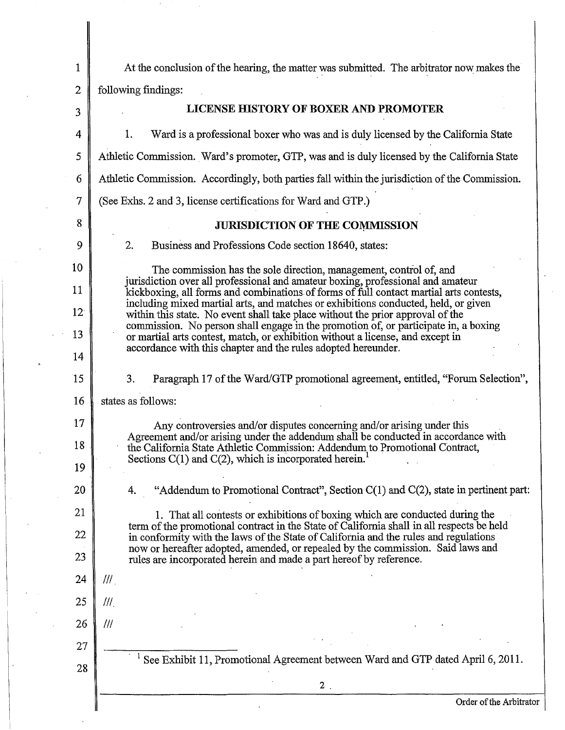| 1               | At the conclusion of the hearing, the matter was submitted. The arbitrator now makes the                                                                                  |
|-----------------|---------------------------------------------------------------------------------------------------------------------------------------------------------------------------|
| $\overline{2}$  | following findings:                                                                                                                                                       |
| $\overline{3}$  | LICENSE HISTORY OF BOXER AND PROMOTER                                                                                                                                     |
| 4               | Ward is a professional boxer who was and is duly licensed by the California State<br>1.                                                                                   |
| 5               | Athletic Commission. Ward's promoter, GTP, was and is duly licensed by the California State                                                                               |
| 6               | Athletic Commission. Accordingly, both parties fall within the jurisdiction of the Commission.                                                                            |
| 7               | (See Exhs. 2 and 3, license certifications for Ward and GTP.)                                                                                                             |
| 8               | <b>JURISDICTION OF THE COMMISSION</b>                                                                                                                                     |
| 9               | 2.<br>Business and Professions Code section 18640, states:                                                                                                                |
| 10              | The commission has the sole direction, management, control of, and                                                                                                        |
| 11              | jurisdiction over all professional and amateur boxing, professional and amateur<br>kickboxing, all forms and combinations of forms of full contact martial arts contests, |
| 12 <sup>°</sup> | including mixed martial arts, and matches or exhibitions conducted, held, or given<br>within this state. No event shall take place without the prior approval of the      |
| 13              | commission. No person shall engage in the promotion of, or participate in, a boxing<br>or martial arts contest, match, or exhibition without a license, and except in     |
| 14              | accordance with this chapter and the rules adopted hereunder.                                                                                                             |
| 15              | 3.<br>Paragraph 17 of the Ward/GTP promotional agreement, entitled, "Forum Selection",                                                                                    |
| 16              | states as follows:                                                                                                                                                        |
| 17              | Any controversies and/or disputes concerning and/or arising under this                                                                                                    |
| 18              | Agreement and/or arising under the addendum shall be conducted in accordance with<br>the California State Athletic Commission: Addendum to Promotional Contract,          |
| 19              | Sections $C(1)$ and $C(2)$ , which is incorporated herein.                                                                                                                |
| 20              | "Addendum to Promotional Contract", Section $C(1)$ and $C(2)$ , state in pertinent part:<br>4.                                                                            |
| 21              | 1. That all contests or exhibitions of boxing which are conducted during the<br>term of the promotional contract in the State of California shall in all respects be held |
| 22              | in conformity with the laws of the State of California and the rules and regulations<br>now or hereafter adopted, amended, or repealed by the commission. Said laws and   |
| 23              | rules are incorporated herein and made a part hereof by reference.                                                                                                        |
| 24              | $^{\prime\prime\prime}$ .                                                                                                                                                 |
| 25              | III                                                                                                                                                                       |
| 26              | III                                                                                                                                                                       |
| 27              | See Exhibit 11, Promotional Agreement between Ward and GTP dated April 6, 2011.                                                                                           |
| 28              |                                                                                                                                                                           |
|                 |                                                                                                                                                                           |
|                 | $2$ .<br>Order of the Arbitrator                                                                                                                                          |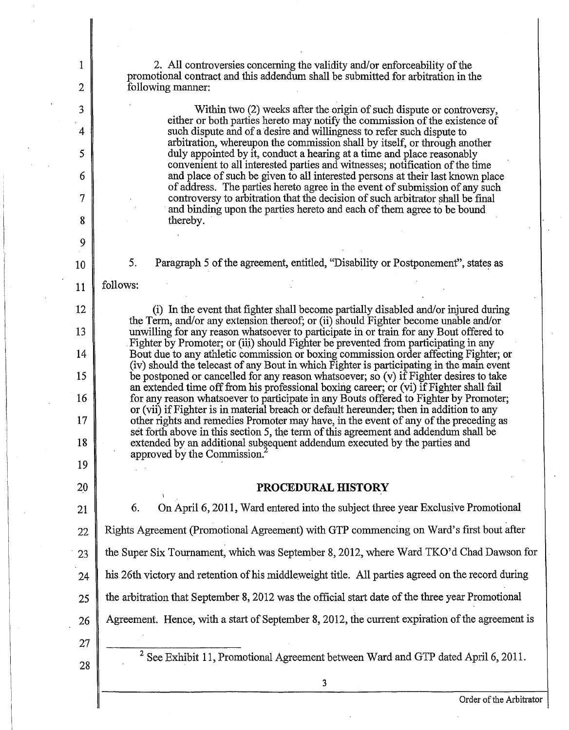2. All controversies concerning the validity and/or enforceability of the promotional contract and this addendum shall be submitted for arbitration in the following manner:

> Within two (2) weeks after the origin of such dispute or controversy, either or both parties hereto may notify the commission of the existence of such dispute and of a desire and willingness to refer such dispute to arbitration, whereupon the commission shall by itself, or through another duly appointed by it, conduct a hearing at a time and place reasonably convenient to all interested parties and witnesses; notification of the time and place of such be given to all interested persons at their last known place of address. The parties hereto agree in the event of submission of any such controversy to arbitration that the decision of such arbitrator shall be final and binding upon the parties hereto and each of them agree to be bound thereby.

5. Paragraph 5 of the agreement, entitled, "Disability or Postponement", states as

follows:

1

2

3

4

5

6

7

8

9

10

11

12

13

14

15

16

17

18

19

20

(i) In the event that fighter shall become partially disabled and/or injured during the Term, and/or any extension thereof; or (ii) should Fighter become unable and/or unwilling for any reason whatsoever to participate in or train for any Bout offered to Fighter by Promoter; or (iii) should Fighter be prevented from participating in any Bout due to any athletic commission or boxing commission order affecting Fighter; or (iv) should the telecast of any Bout in which Fighter is participating in the main event be postponed or cancelled for any reason whatsoever; so  $(v)$  if Fighter desires to take an extended time off from his professional boxing career; or (vi) if Fighter shall fail for any reason whatsoever to participate in any Bouts offered to Fighter by Promoter; or (vii) ifFighter is in material breach or default hereunder; then in addition to any other rights and remedies Promoter may have, in the event of any of the preceding as set forth above in this section 5, the term of this agreement and addendum shall be extended by an additional subsequent addendum executed by the parties and approved by the Commission?

# **PROCEDURAL HISTORY**

21 22  $\frac{1}{23}$ 24 25 26 6. On April6, 2011, Ward entered into the subject three year Exclusive Promotional Rights Agreement (Promotional Agreement) with GTP commencing on Ward's first bout after the Super Six Tournament, which was September 8, 2012, where Ward TKO'd Chad Dawson for his 26th victory and retention of his middleweight title. All parties agreed on the record during the arbitration that September 8, 2012 was the official start date of the three year Promotional Agreement. Hence, with a start of September 8, 2012, the current expiration of the agreement is

27 28

<sup>2</sup> See Exhibit 11, Promotional Agreement between Ward and GTP dated April 6, 2011.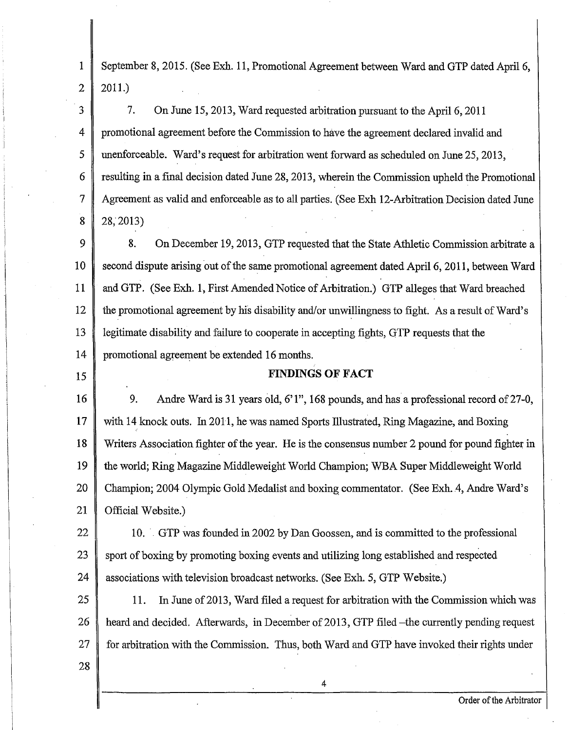1 2 September 8, 2015. (See Exh. 11, Promotional Agreement between Ward and GTP dated Apri16, 2011.)

3 4 5 6 7 8 7. On June 15, 2013, Ward requested arbitration pursuant to the April 6, 2011 promotional agreement before the Commission to have the agreement declared invalid and unenforceable. Ward's request for arbitration went forward as scheduled on June 25, 2013, resulting in a final decision dated June 28, 2013, wherein the Commission upheld the Promotional Agreement as valid and enforceable as to all parties. (See Exh 12-Arbitration Decision dated June 28;2013)

9 10 11 12 13 14 8. On December 19, 2013, GTP requested that the State Athletic Commission arbitrate a second dispute arising out of the same promotional agreement dated April 6, 2011, between Ward and GTP. (See Exh. 1, First Amended Notice of Arbitration.) GTP alleges that Ward breached the promotional agreement by his disability and/or unwillingness to fight. As a result of Ward's legitimate disability and failure to cooperate in accepting fights, QTP requests that the promotional agreement be extended 16 months.

15

## FINDINGS OF FACT

16 17 18 19 20 21 9. Andre Ward is 31 years old, 6'1", 168 pounds, and has a professional record of 27-0, with 14 knock outs. In 2011, he was named Sports Illustrated, Ring Magazine, and Boxing  $^{\prime}$ Writers Association fighter of the year. He is the consensus number 2 pound for pound fighter in the world; Ring Magazine Middleweight World Champion; WBA Super Middleweight World Champion; 2004 Olympic Gold Medalist and boxing commentator. (See Exh. .4, Andre Ward's Official Website.)

22 23 24 10. GTP was founded in 2002 by Dan Goossen, and is committed to the professional sport of boxing by promoting boxing events and utilizing long established and respected associations with television broadcast networks. (See Exh. 5, GTP Website.)

25 26 27 11. In June of 2013, Ward filed a request for arbitration with the Commission which was heard and decided. Afterwards, in December of 2013, GTP filed -the currently pending request for arbitration with the Commission. Thus, both Ward and GTP have invoked their rights under

4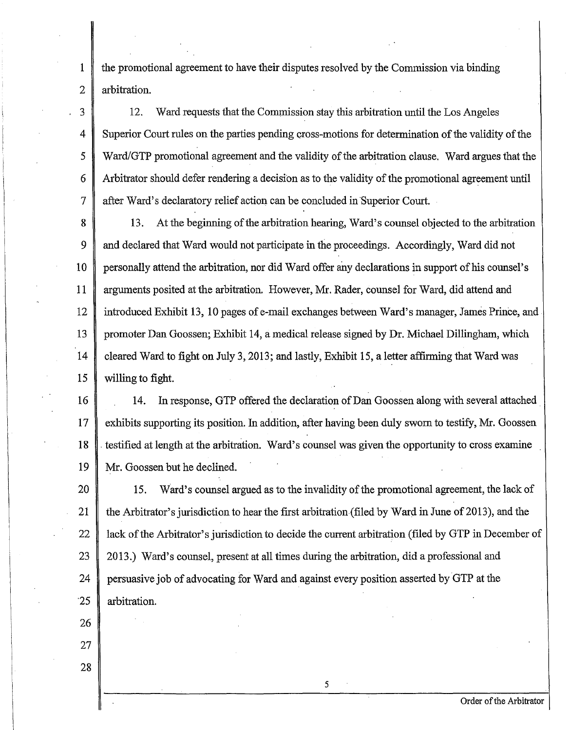the promotional agreement to have their disputes resolved by the Commission via binding arbitration.

12. Ward requests that the Commission stay this arbitration until the Los Angeles Superior Court rules on the parties pending cross-motions for determination of the validity of the Ward/GTP promotional agreement and the validity of the arbitration clause. Ward argues that the Arbitrator should defer rendering a decision as to the validity of the promotional agreement until after Ward's declaratory relief action can be concluded in Superior Court.

8 9 10 11 12 13 14 15 13. At the beginning of the arbitration hearing, Ward's counsel objected to the arbitration and declared that Ward would not participate in the proceedings. Accordingly, Ward did not personally attend the arbitration, nor did Ward offer any declarations in support ofhis counsel's arguments posited at the arbitration. However, Mr. Rader, counsel for Ward, did attend and introduced Exhibit 13, 10 pages of e-mail exchanges between Ward's manager, James Prince, and promoter Dan Goossen; Exhibit 14, a medical release signed by Dr. Michael Dillingham, which cleared Ward to fight on July 3, 2013; and lastly, Exhibit 15, a letter affirming that Ward was willing to fight.

16 17 18 19 14. In response, GTP offered the declaration of Dan Goossen along with several attached exhibits supporting its position. In addition, after having been duly sworn to testify, Mr. Goossen . testified at length at the arbitration. Ward's counsel was given the opportunity to cross examine Mr. Goossen but he declined.

20 21 22 23 24 ·25 15. Ward's counsel argued as to the invalidity of the promotional agreement, the lack of the Arbitrator's jurisdiction to hear the first arbitration (filed by Ward in June of 2013), and the lack of the Arbitrator's jurisdiction to decide the current arbitration (filed by GTP in December of 2013.) Ward's counsel, present at all times during the arbitration, did a professional and persuasive job of advocating for Ward and against every position asserted by GTP at the arbitration.

5

26

1

2

3

4

5

6

7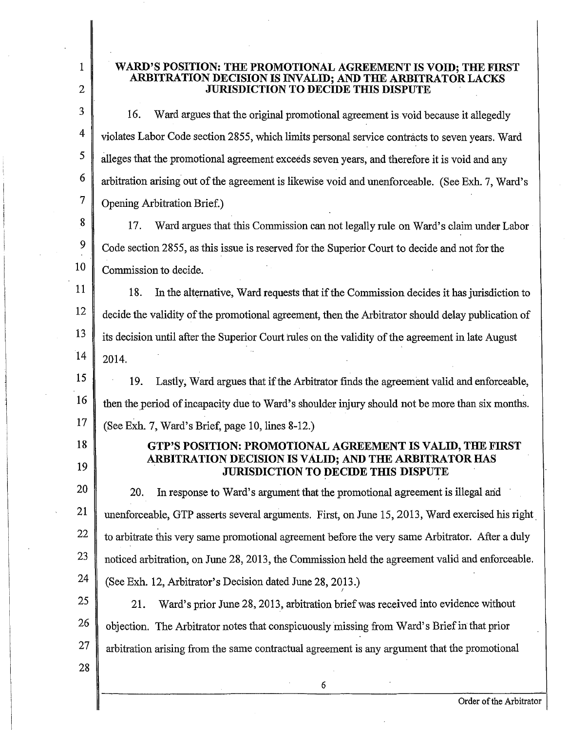1 2

### WARD'S POSITION: THE PROMOTIONAL AGREEMENT IS VOID; THE FIRST ARBITRATION DECISION IS INVALID; AND THE ARBITRATOR LACKS **JURISDICTION TO DECIDE THIS DISPUTE**

3 4 5 6 7 16. Ward argues that the original promotional agreement is-void because it allegedly violates Labor Code section 2855, which limits personal service contracts to seven years. Ward alleges that the promotional agreement exceeds seven years, and therefore it is void and any arbitration arising out of the agreement is likewise void and unenforceable. (See Exh. 7, Ward's Opening Arbitration Brief.)

8 9 10 17. Ward argues that this Commission can not legally rule on Ward's claim under Labor Code section 2855, as this issue is reserved for the Superior Court to decide and not for the Commission to decide.

11 12 13 14 18. In the alternative, Ward requests that if the Commission decides it has jurisdiction to decide the validity of the promotional agreement, then the Arbitrator should delay publication of its decision until after the Superior Court rules on the validity of the agreement in late August 2014.

15 16 17 19. Lastly, Ward argues that if the Arbitrator finds the agreement valid and enforceable, then the period of incapacity due to Ward's shoulder injury should not be more than six months. (See Exh. 7, Ward's Brief, page 10, lines 8-12.)

# GTP'S POSITION: PROMOTIONAL AGREEMENT IS VALID, THE FIRST ARBITRATION DECISION IS VALID; AND THE ARBITRATOR HAS . JURISDICTION TO DECIDE THIS DISPUTE

20 21 22 23 24 20. In response to Ward's argument that the promotional agreement is illegal arid unenforceable, GTP asserts several arguments. First, on June 15, 2013, Ward exercised his right. to arbitrate this very same promotional agreement before the very same Arbitrator. After a duly noticed arbitration, on June 28, 2013, the Commission held the agreement valid and enforceable. (See Exh. 12, Arbitrator's Decision dated June 28, 2013.) I

25 26 27 21. Ward's prior June 28, 2013, arbitration brief was received into evidence without objection. The Arbitrator notes that conspicuously missing from Ward's Briefin· that prior arbitration arising from the same contractual agreement is any argument that the promotional

28

18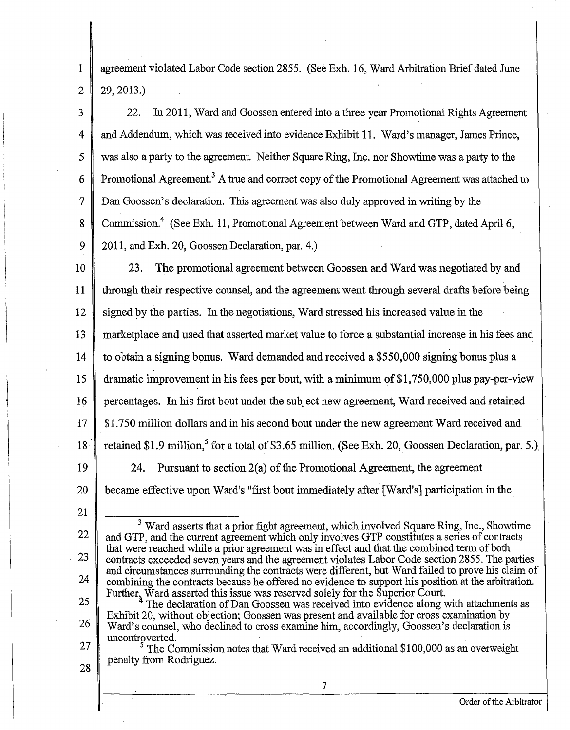agreement violated Labor Code section 2855. (See Exh. 16, Ward Arbitration Brief dated June 29, 2013.)

3 4 5 6 7 8 9 22. In 2011, Ward and Goossen entered into a three year Promotional Rights Agreement and Addendum, which was received into evidence Exhibit 11. Ward's manager, James Prince, was also a party to the agreement. Neither Square Ring, Inc. nor Showtime was a party to the Promotional Agreement.<sup>3</sup> A true and correct copy of the Promotional Agreement was attached to Dan Goossen's declaration. This agreement was also duly approved in writing by the Commission.4 (See Exh. 11, Promotional Agreement between Ward and GTP, dated April6, 2011, and Exh. 20, Goossen Declaration, par. 4.)

10 11 12 13 14 15 16 17 18 19 20 23. The promotional agreement between Goossen and Ward was negotiated by and through their respective counsel, and the agreement went through several drafts before being signed by the parties. In the negotiations, Ward stressed his increased value in the marketplace and used that asserted market value to force a substantial increase in his fees and to obtain a signing bonus. Ward demanded and received a \$550,000 signing bonus plus a dramatic improvement in his fees per bout, with a minimum of  $$1,750,000$  plus pay-per-view percentages. In his first bout under the subject new agreement, Ward received and retained \$1.750 million dollars and in his second bout under the new agreement Ward received and retained \$1.9 million,<sup>5</sup> for a total of \$3.65 million. (See Exh. 20, Goossen Declaration, par. 5.). 24. Pursuant to section  $2(a)$  of the Promotional Agreement, the agreement became effective upon Ward's "first bout immediately after [Ward's] participation in the

21

22

23

24

25

26

28

1

2

<sup>3</sup> Ward asserts that a prior fight agreement, which involved Square Ring, Inc., Showtime and GTP, and the current agreement which only involves GTP constitutes a series of contracts that were reached while a prior agreement was in effect and that the combined term of both contracts exceeded seven years and the agreement violates Labor Code section 2855. The parties and circumstances surrounding the contracts were different, but Ward failed to prove his claim of combining the contracts because he offered no evidence to support his position at the arbitration. Further, Ward asserted this issue was reserved solely for the Superior Court.

27 <sup>4</sup> The declaration of Dan Goossen was received into evidence along with attachments as Exhibit 20, without objection; Goossen was present and available for cross examination by Ward's counsel, who declined to cross examine him, accordingly, Goossen's declaration is uncontroverted.

The Commission notes that Ward received an additional \$100,000 as an overweight penalty from Rodriguez.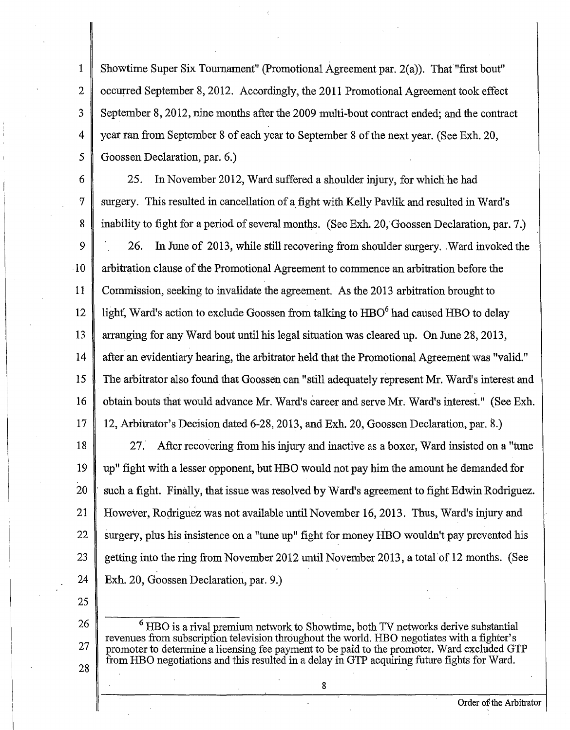1 Showtime Super Six Toumament" (Promotional Agreement par. 2(a)). Tha{"first bout" occurred September 8, 2012. Accordingly, the 2011 Promotional Agreement took effect September 8, 2012, nine months after the 2009 multi-bout contract ended; and the contract year ran from September 8 of each year to September 8 of the next year. (See Exh. 20, Goossen Declaration, par. 6.)

6 25. In November 2012, Ward suffered a shoulder injury, for which he had 7 surgery. This resulted in cancellation of a fight with Kelly Pavlik and resulted in Ward's 8 inability to fight for a period of several months. (See Exh. 20, Goossen Declaration, par. 7.) 9  $\parallel$  26. In June of 2013, while still recovering from shoulder surgery. Ward invoked the .1 0 arbitration clause ofthe Promotional Agreement to commence an arbitration before the 11 Commission, seeking to invalidate the agreement. As the 2013 arbitration brought to 12 light, Ward's action to exclude Goossen from talking to  $HBO<sup>6</sup>$  had caused HBO to delay 13 arranging for any Ward bout until his legal situation was cleared up. On June 28, 2013, 14 after an evidentiary hearing, the arbitrator held that the Promotional Agreement was "valid." 15 The arbitrator also found that Goossen can "still adequately represent Mr. Ward's interest and 16 obtain bouts that would advance Mr. Ward's career and serve Mr. Ward's interest." (See Exh. 17 12, Arbitrator's Decision dated 6-28, 2013, and Exh. 20, Goossen Declaration, par. 8.)

18 27. After recovering from his injury and inactive as a boxer, Ward insisted on a "tune 19 up" fight with a lesser opponent, but HBO would not pay him the amount he demanded for 20  $\parallel$  such a fight. Finally, that issue was resolved by Ward's agreement to fight Edwin Rodriguez. 21 However, Rodriguez was not available until November 16, 2013. Thus, Ward's injury and 22 Surgery, plus his insistence on a "tune up" fight for money HBO wouldn't pay prevented his 23 getting into the ring from November 2012 until November 2013, a total of 12 months. (See 24 Exh. 20, Goossen Declaration, par. 9.)

25

28

2

3

4

5

<sup>26</sup> <sup>6</sup> HBO is a rival premium network to Showtime, both TV networks derive substantial revenues from subscription television throughout the world. HBO negotiates with a fighter's revenues from subscription television throughout the world. HBO negotiates with a fighter's 27 promoter to determine a licensing fee payment to be paid to the promoter. Ward excluded GTP from HBO negotiations and this resulted in a delay in GTP acquiring future fights for Ward.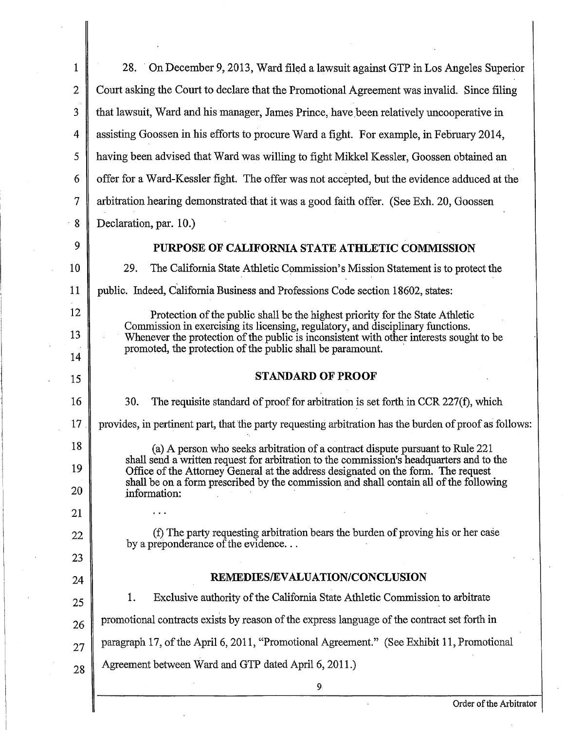| $\mathbf{1}$   | 28. On December 9, 2013, Ward filed a lawsuit against GTP in Los Angeles Superior                                                                                             |
|----------------|-------------------------------------------------------------------------------------------------------------------------------------------------------------------------------|
| 2              | Court asking the Court to declare that the Promotional Agreement was invalid. Since filing                                                                                    |
| 3              | that lawsuit, Ward and his manager, James Prince, have been relatively uncooperative in                                                                                       |
| 4              | assisting Goossen in his efforts to procure Ward a fight. For example, in February 2014,                                                                                      |
| 5              | having been advised that Ward was willing to fight Mikkel Kessler, Goossen obtained an                                                                                        |
| 6              | offer for a Ward-Kessler fight. The offer was not accepted, but the evidence adduced at the                                                                                   |
| $\overline{7}$ | arbitration hearing demonstrated that it was a good faith offer. (See Exh. 20, Goossen                                                                                        |
| 8              | Declaration, par. 10.)                                                                                                                                                        |
| 9              | PURPOSE OF CALIFORNIA STATE ATHLETIC COMMISSION                                                                                                                               |
| 10             | 29.<br>The California State Athletic Commission's Mission Statement is to protect the                                                                                         |
| 11             | public. Indeed, California Business and Professions Code section 18602, states:                                                                                               |
| 12             | Protection of the public shall be the highest priority for the State Athletic                                                                                                 |
| 13             | Commission in exercising its licensing, regulatory, and disciplinary functions.<br>Whenever the protection of the public is inconsistent with other interests sought to be    |
| 14             | promoted, the protection of the public shall be paramount.                                                                                                                    |
| 15             | <b>STANDARD OF PROOF</b>                                                                                                                                                      |
| 16             | 30.<br>The requisite standard of proof for arbitration is set forth in CCR 227(f), which                                                                                      |
| 17             | provides, in pertinent part, that the party requesting arbitration has the burden of proof as follows:                                                                        |
| 18             | (a) A person who seeks arbitration of a contract dispute pursuant to Rule 221                                                                                                 |
| 19             | shall send a written request for arbitration to the commission's headquarters and to the<br>Office of the Attorney General at the address designated on the form. The request |
| 20             | shall be on a form prescribed by the commission and shall contain all of the following<br>information:                                                                        |
| 21             |                                                                                                                                                                               |
| 22             | (f) The party requesting arbitration bears the burden of proving his or her case<br>by a preponderance of the evidence                                                        |
| 23             |                                                                                                                                                                               |
| 24             | REMEDIES/EVALUATION/CONCLUSION                                                                                                                                                |
| 25             | Exclusive authority of the California State Athletic Commission to arbitrate<br>1.                                                                                            |
| 26             | promotional contracts exists by reason of the express language of the contract set forth in                                                                                   |
| 27             | paragraph 17, of the April 6, 2011, "Promotional Agreement." (See Exhibit 11, Promotional                                                                                     |
| 28             | Agreement between Ward and GTP dated April 6, 2011.)                                                                                                                          |
|                | 9.                                                                                                                                                                            |

 $\ddot{\phantom{a}}$ 

 $\ddot{\phantom{a}}$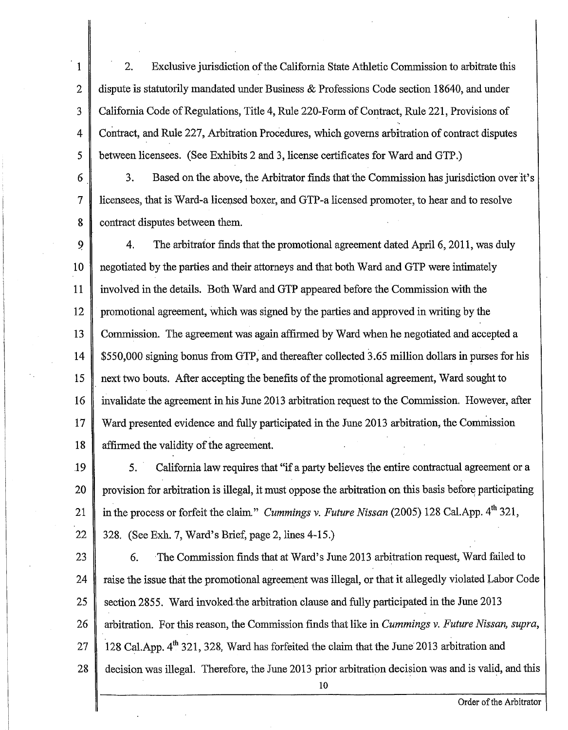5 1 2 3 4 2. Exclusive jurisdiction of the California State Athletic Commission to arbitrate this dispute is statutorily mandated under Business & Professions Code section 18640, and under California Code of Regulations, Title 4, Rule 220-Form of Contract, Rule 221, Provisions of Contract, and Rule 227, Arbitration Procedures, which governs arbitration of contract disputes between licensees. (See Exhibits 2 and 3, license certificates for Ward and GTP.)

6 7 8 3. Based on the above, the Arbitrator finds that the Commission has jurisdiction over it's licensees, that is Ward-a licensed boxer, and GTP-a licensed promoter, to hear and to resolve contract disputes between them.

9 4. The arbitrator finds that the promotional agreement dated April 6, 2011, was duly negotiated by the parties and their attorneys and that both Ward and GTP were intimately 10 11 involved in the details. Both Ward and GTP appeared before the Commission with the 12 promotional agreement, which was signed by the parties and approved in writing by the 13 Commission. The agreement was again affirmed by Ward when he negotiated and accepted a \$550,000 signing bonus from GTP, and thereafter collected 3.65 million dollars in purses for his 14 15 next two bouts. After accepting the benefits of the promotional agreement, Ward sought to 16 invalidate the agreement in his June 2013 arbitration request to the Commission. However, after 17 Ward presented evidence and fully participated in the June 2013 arbitration, the Commission 18 affirmed the validity of the agreement.

20 19 21 22 5. California law requires that "if a party believes the entire contractual agreement or a provision for arbitration is illegal, it must oppose the arbitration on this basis before participating in the process or forfeit the claim." *Cummings v. Future Nissan* (2005) 128 Cal.App. 4<sup>th</sup> 321, 328. (See Exh. 7, Ward's Brief, page 2, lines 4-15.)

25 23 24 26 27 28 6. The Commission finds that at Ward's June 2013 arbitration request, Ward failed to raise the issue that the promotional agreement was illegal, or that it allegedly violated Labor Code section 2855. Ward invoked the arbitration clause and fully participated in the June 2013 arbitration. For this reason, the Commission finds that like in *Cummings* v. *Future Nissan, supra,*  128 Cal.App. 4<sup>th</sup> 321, 328, Ward has forfeited the claim that the June 2013 arbitration and decision was illegal. Therefore, the June 2013 prior arbitration decision was and is valid, and this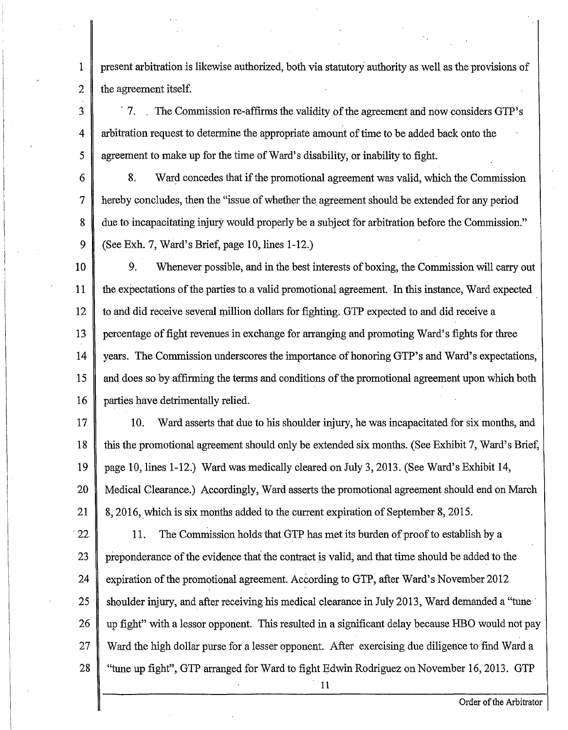present arbitration is likewise authorized, both via statutory· authority as well as the provisions of the agreement itself.

1

2

3

5

4 <sup>7</sup>. The Commission re-affirms the validity of the agreement and now considers GTP's arbitration request to determine the appropriate amount of time to be added back onto the agreement to make up for the time of Ward's disability, or inability to fight.

6 7 8 *9*  8. Ward concedes that if the promotional agreement was valid, which the Commission hereby concludes, then the "issue of whether the agreement should be extended for any period due to incapacitating injury would properly be a subject for arbitration before the Commission." (See Exh. 7, Ward's Brief, page IO, lines I-I2.)

IO II I2 I3 I4 I5 I6 9. Whenever possible, and in the best interests of boxing, the Commission will carry out the expectations of the parties to a valid promotional agreement. In this instance, Ward expected to and did receive several million dollars for fighting. GTP expected to and did receive a percentage of fight revenues in exchange for arranging and promoting Ward's fights for three years. The Commission underscores the importance of honoring GTP's and Ward's expectations, and does so by affirming the terms and conditions of the promotional agreement upon which both parties have detrimentally relied.

- I7 18 19 20 2I IO. Ward asserts that due to his shoulder injury, he was incapacitated for six months, and this the promotional agreement should only be extended six months. (See Exhibit 7, Ward's Brief, page IO, lines I-12.) Ward was medically cleared on July 3, 2013. (See Ward's Exhibit 14, Medical Clearance.) Accordingly, Ward asserts the promotional agreement should end on March 8, 2016, which is six months added to the current expiration of September 8, 2015.
- · 22 23 24 25 26 27 28 11. The Commission holds that GTP has met its burden of proof to establish by a preponderance ofthe evidence that the contract is valid, and that time should be added to the expiration of the promotional agreement. According to GTP, after Ward's November 2012 shoulder injury, and after receiving his medical clearance in July 2013, Ward demanded a "tune up fight" with a lessor opponent. This resulted in a significant delay because HBO would not pay Ward the high dollar purse for a lesser opponent. After exercising due diligence to find Ward a "tune up fight", GTP arranged for Ward to fight Edwin Rodriguez on November 16,2013. GTP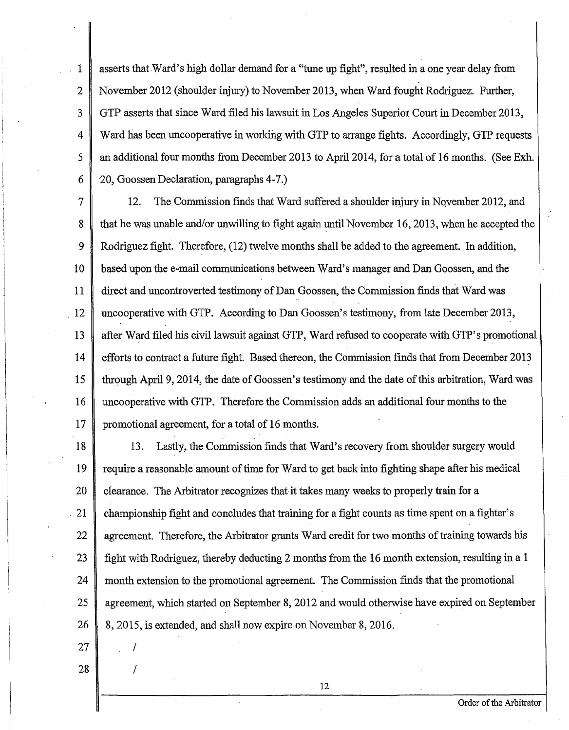1 2 3 4 5 6 asserts that Ward's high dollar demand for a "tune up fight", resulted in a one year delay from November 2012 (shoulder injury) to November 2013, when Ward fought Rodriguez. Further, GTP asserts that since Ward filed his lawsuit in Los Angeles Superior Court in December 2013, Ward has been uncooperative in working with GTP to arrange fights. Accordingly, GTP requests an additional four months from December 2013 to Apri12014, for a total of 16 months. (See Exh. 20, Goossen Declaration, paragraphs 4-7 .)

7 8 9 10 11 12 13 14 15 16 17 12. The Commission finds that Ward suffered a shoulder injury in November 2012, and that he was unable and/or unwilling to fight again until November 16, 2013, when he accepted the Rodriguez fight. Therefore, (12) twelve months shall be added to the agreement. In addition, based upon the e-mail communications between Ward's manager and Dan Goossen, and the direct and uncontroverted testimony of Dan Goossen, the Commission finds that Ward was uncooperative with GTP. According to Dan Goossen's testimony, from late December 2013, after Ward filed his civil lawsuit against GTP, Ward refused to cooperate with GTP's promotional efforts to contract a future fight. Based thereon, the Commission finds that from December 2013 through April 9, 2014, the date of Goossen's testimony and the date of this arbitration, Ward was uncooperative with GTP. Therefore the Commission adds an additional four months to the promotional agreement, for a total of 16 months.

18 19 20 21 22 23 24 25 26 13. Lastly, the Commission finds that Ward's recovery from shoulder surgery would require a reasonable amount of time for Ward to get back into fighting shape after his medical clearance. The Arbitrator recognizes that-it takes many weeks to properly train for a . championship fight and concludes that training for a fight counts as time spent on a fighter's agreement. Therefore, the Arbitrator grants Ward credit for two months of training towards his fight with Rodriguez, thereby deducting 2 months from the 16 month extension, resulting in a 1 month extension to the promotional agreement. The Commission finds that the promotional agreement, which started on September 8, 2012 and would otherwise have expired on September 8, 2015, is extended, and shall now expire on November 8, 2016.

27 28  $\mathcal{L}$ 

I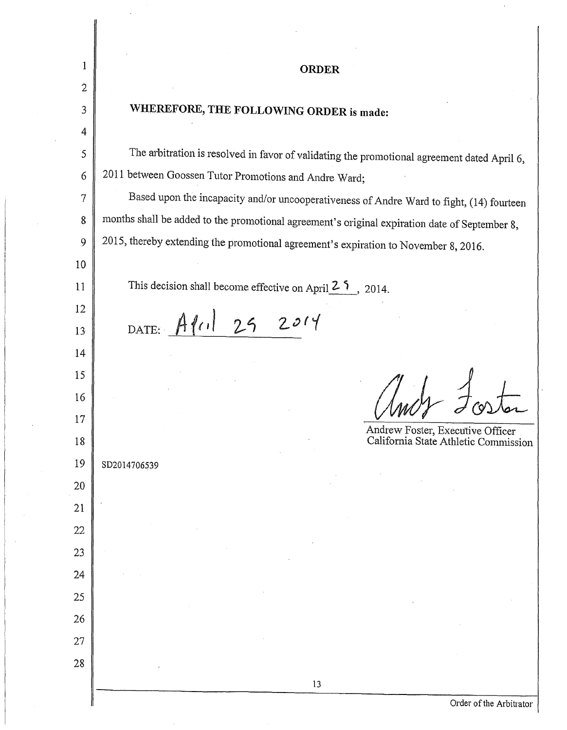| 1              | <b>ORDER</b>                                                                                  |
|----------------|-----------------------------------------------------------------------------------------------|
| $\overline{2}$ |                                                                                               |
| $\mathfrak{Z}$ | WHEREFORE, THE FOLLOWING ORDER is made:                                                       |
| 4              |                                                                                               |
| 5              | The arbitration is resolved in favor of validating the promotional agreement dated April 6,   |
| 6              | 2011 between Goossen Tutor Promotions and Andre Ward;                                         |
| $\tau$         | Based upon the incapacity and/or uncooperativeness of Andre Ward to fight, (14) fourteen      |
| 8              | months shall be added to the promotional agreement's original expiration date of September 8, |
| 9              | 2015, thereby extending the promotional agreement's expiration to November 8, 2016.           |
| 10             |                                                                                               |
| 11             | This decision shall become effective on April $2.5$ , 2014.                                   |
| 12             |                                                                                               |
| 13             | DATE: APril 29 2014                                                                           |
| 14             |                                                                                               |
| 15             |                                                                                               |
| 16             |                                                                                               |
| 17             | Andrew Foster, Executive Officer                                                              |
| 18             | California State Athletic Commission                                                          |
| 19             | SD2014706539                                                                                  |
| 20             |                                                                                               |
| 21             |                                                                                               |
| 22             |                                                                                               |
| 23             |                                                                                               |
| 24             |                                                                                               |
| 25             |                                                                                               |
| 26             |                                                                                               |
| 27<br>28       |                                                                                               |
|                | 13                                                                                            |
|                | Order of the Arbitrator                                                                       |

 $\bar{\mathcal{A}}$